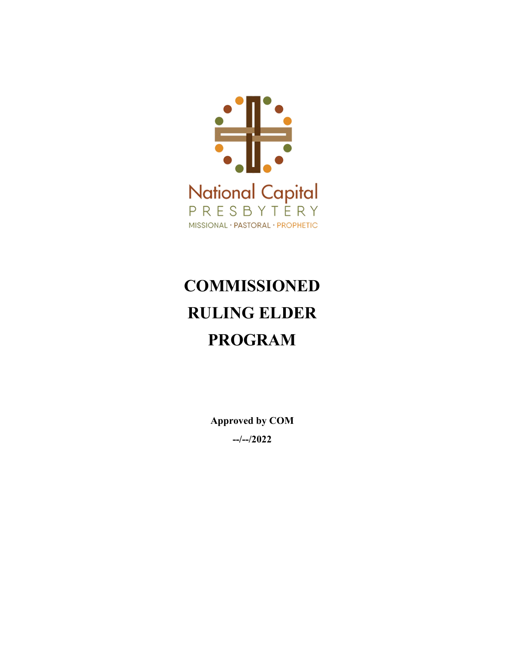

# **COMMISSIONED RULING ELDER PROGRAM**

**Approved by COM --/--/2022**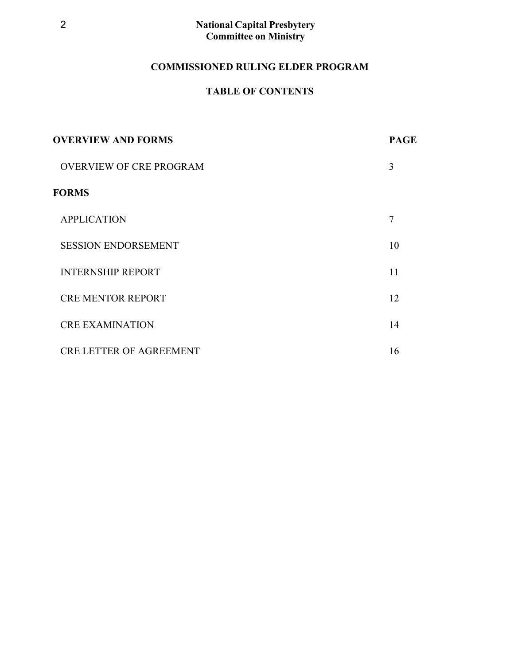# **COMMISSIONED RULING ELDER PROGRAM**

# **TABLE OF CONTENTS**

| <b>OVERVIEW AND FORMS</b>      | <b>PAGE</b>    |
|--------------------------------|----------------|
| <b>OVERVIEW OF CRE PROGRAM</b> | 3              |
| <b>FORMS</b>                   |                |
| <b>APPLICATION</b>             | $\overline{7}$ |
| <b>SESSION ENDORSEMENT</b>     | 10             |
| <b>INTERNSHIP REPORT</b>       | 11             |
| <b>CRE MENTOR REPORT</b>       | 12             |
| <b>CRE EXAMINATION</b>         | 14             |
| <b>CRE LETTER OF AGREEMENT</b> | 16             |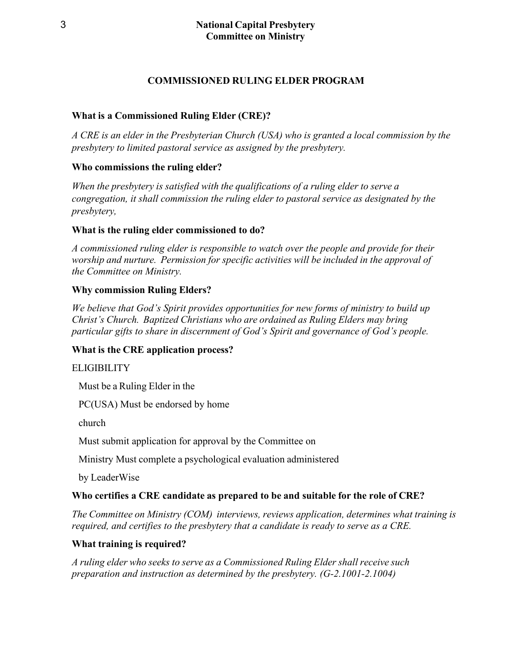# **COMMISSIONED RULING ELDER PROGRAM**

## **What is a Commissioned Ruling Elder (CRE)?**

*A CRE is an elder in the Presbyterian Church (USA) who is granted a local commission by the presbytery to limited pastoral service as assigned by the presbytery.*

# **Who commissions the ruling elder?**

*When the presbytery is satisfied with the qualifications of a ruling elder to serve a congregation, it shall commission the ruling elder to pastoral service as designated by the presbytery,*

### **What is the ruling elder commissioned to do?**

*A commissioned ruling elder is responsible to watch over the people and provide for their worship and nurture. Permission for specific activities will be included in the approval of the Committee on Ministry.*

# **Why commission Ruling Elders?**

*We believe that God's Spirit provides opportunities for new forms of ministry to build up Christ's Church. Baptized Christians who are ordained as Ruling Elders may bring particular gifts to share in discernment of God's Spirit and governance of God's people.*

### **What is the CRE application process?**

### **ELIGIBILITY**

Must be a Ruling Elder in the

PC(USA) Must be endorsed by home

church

Must submit application for approval by the Committee on

Ministry Must complete a psychological evaluation administered

by LeaderWise

### **Who certifies a CRE candidate as prepared to be and suitable for the role of CRE?**

*The Committee on Ministry (COM) interviews, reviews application, determines what training is required, and certifies to the presbytery that a candidate is ready to serve as a CRE.*

# **What training is required?**

*A ruling elder who seeks to serve as a Commissioned Ruling Elder shall receive such preparation and instruction as determined by the presbytery. (G-2.1001-2.1004)*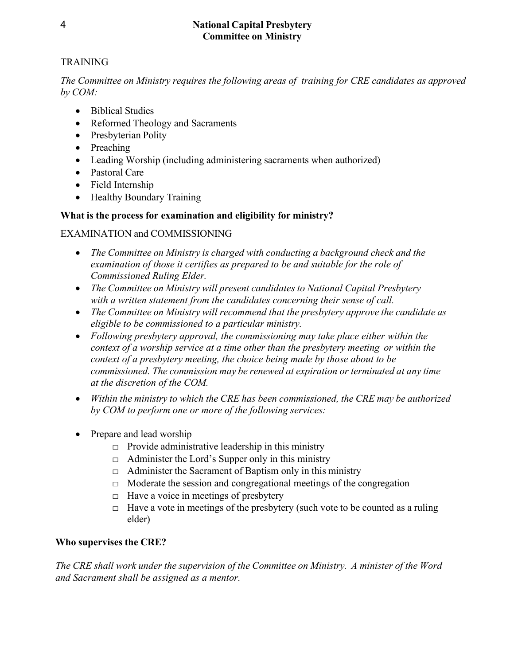# **TRAINING**

*The Committee on Ministry requires the following areas of training for CRE candidates as approved by COM:*

- Biblical Studies
- Reformed Theology and Sacraments
- Presbyterian Polity
- Preaching
- Leading Worship (including administering sacraments when authorized)
- Pastoral Care
- Field Internship
- Healthy Boundary Training

# **What is the process for examination and eligibility for ministry?**

# EXAMINATION and COMMISSIONING

- *The Committee on Ministry is charged with conducting a background check and the examination of those it certifies as prepared to be and suitable for the role of Commissioned Ruling Elder.*
- *The Committee on Ministry will present candidates to National Capital Presbytery with a written statement from the candidates concerning their sense of call.*
- *The Committee on Ministry will recommend that the presbytery approve the candidate as eligible to be commissioned to a particular ministry.*
- *Following presbytery approval, the commissioning may take place either within the context of a worship service at a time other than the presbytery meeting or within the context of a presbytery meeting, the choice being made by those about to be commissioned. The commission may be renewed at expiration or terminated at any time at the discretion of the COM.*
- *Within the ministry to which the CRE has been commissioned, the CRE may be authorized by COM to perform one or more of the following services:*
- Prepare and lead worship
	- $\Box$  Provide administrative leadership in this ministry
	- $\Box$  Administer the Lord's Supper only in this ministry
	- $\Box$  Administer the Sacrament of Baptism only in this ministry
	- $\Box$  Moderate the session and congregational meetings of the congregation
	- $\Box$  Have a voice in meetings of presbytery
	- $\Box$  Have a vote in meetings of the presbytery (such vote to be counted as a ruling elder)

# **Who supervises the CRE?**

*The CRE shall work under the supervision of the Committee on Ministry. A minister of the Word and Sacrament shall be assigned as a mentor.*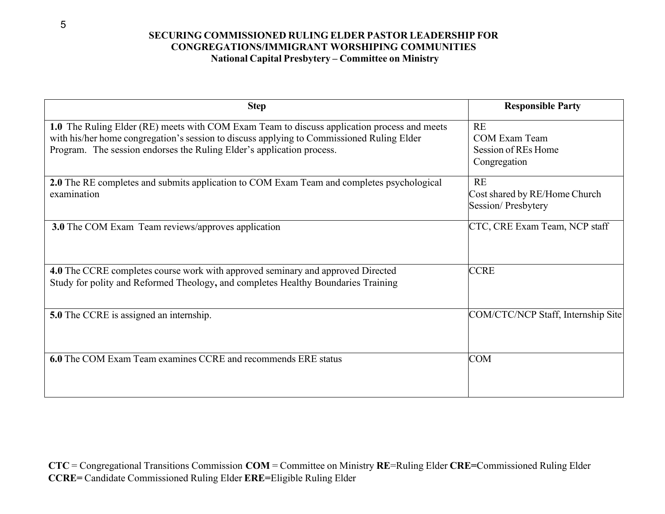#### **SECURING COMMISSIONED RULING ELDER PASTOR LEADERSHIP FOR CONGREGATIONS/IMMIGRANT WORSHIPING COMMUNITIES National Capital Presbytery – Committee on Ministry**

| <b>Step</b>                                                                                                                                                                                                                                                       | <b>Responsible Party</b>                                   |
|-------------------------------------------------------------------------------------------------------------------------------------------------------------------------------------------------------------------------------------------------------------------|------------------------------------------------------------|
| 1.0 The Ruling Elder (RE) meets with COM Exam Team to discuss application process and meets<br>with his/her home congregation's session to discuss applying to Commissioned Ruling Elder<br>Program. The session endorses the Ruling Elder's application process. | RE<br>COM Exam Team<br>Session of REs Home<br>Congregation |
| 2.0 The RE completes and submits application to COM Exam Team and completes psychological<br>examination                                                                                                                                                          | RE<br>Cost shared by RE/Home Church<br>Session/Presbytery  |
| 3.0 The COM Exam Team reviews/approves application                                                                                                                                                                                                                | CTC, CRE Exam Team, NCP staff                              |
| 4.0 The CCRE completes course work with approved seminary and approved Directed<br>Study for polity and Reformed Theology, and completes Healthy Boundaries Training                                                                                              | <b>CCRE</b>                                                |
| <b>5.0</b> The CCRE is assigned an internship.                                                                                                                                                                                                                    | COM/CTC/NCP Staff, Internship Site                         |
| 6.0 The COM Exam Team examines CCRE and recommends ERE status                                                                                                                                                                                                     | <b>COM</b>                                                 |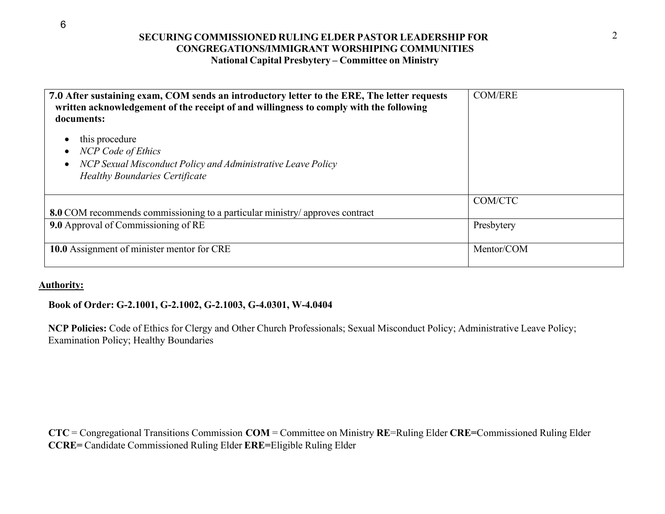#### **SECURING COMMISSIONED RULING ELDER PASTOR LEADERSHIP FOR** 2 **CONGREGATIONS/IMMIGRANT WORSHIPING COMMUNITIES National Capital Presbytery – Committee on Ministry**

| 7.0 After sustaining exam, COM sends an introductory letter to the ERE, The letter requests<br>written acknowledgement of the receipt of and willingness to comply with the following<br>documents: | <b>COM/ERE</b>           |
|-----------------------------------------------------------------------------------------------------------------------------------------------------------------------------------------------------|--------------------------|
| this procedure<br><b>NCP</b> Code of Ethics<br>NCP Sexual Misconduct Policy and Administrative Leave Policy<br><b>Healthy Boundaries Certificate</b>                                                |                          |
| 8.0 COM recommends commissioning to a particular ministry/approves contract                                                                                                                         | COM/CTC                  |
| 9.0 Approval of Commissioning of RE<br>10.0 Assignment of minister mentor for CRE                                                                                                                   | Presbytery<br>Mentor/COM |
|                                                                                                                                                                                                     |                          |

#### **Authority:**

#### **Book of Order: G-2.1001, G-2.1002, G-2.1003, G-4.0301, W-4.0404**

**NCP Policies:** Code of Ethics for Clergy and Other Church Professionals; Sexual Misconduct Policy; Administrative Leave Policy; Examination Policy; Healthy Boundaries

**CTC** = Congregational Transitions Commission **COM** = Committee on Ministry **RE**=Ruling Elder **CRE=**Commissioned Ruling Elder **CCRE=** Candidate Commissioned Ruling Elder **ERE=**Eligible Ruling Elder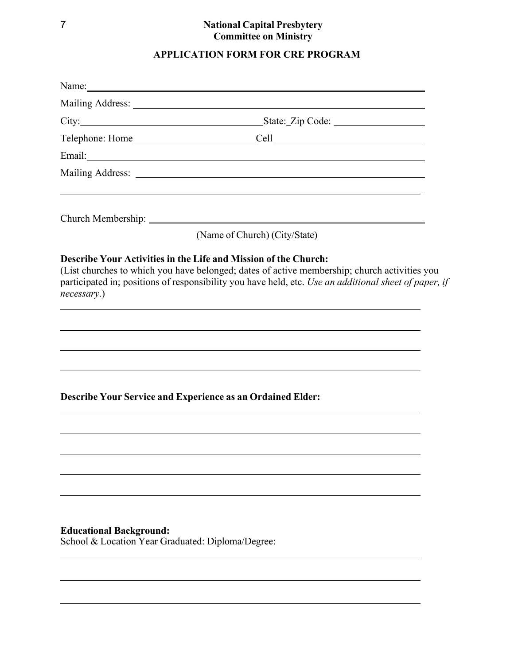# **APPLICATION FORM FOR CRE PROGRAM**

| Email: <u>Constantino de la contrada de la contrada de la contrada de la contrada de la contrada de la contrada de la contrada de la contrada de la contrada de la contrada de la contrada de la contrada de la contrada de la c</u>                                                                                                                                        |
|-----------------------------------------------------------------------------------------------------------------------------------------------------------------------------------------------------------------------------------------------------------------------------------------------------------------------------------------------------------------------------|
|                                                                                                                                                                                                                                                                                                                                                                             |
|                                                                                                                                                                                                                                                                                                                                                                             |
|                                                                                                                                                                                                                                                                                                                                                                             |
| (Name of Church) (City/State)                                                                                                                                                                                                                                                                                                                                               |
| Describe Your Activities in the Life and Mission of the Church:<br>(List churches to which you have belonged; dates of active membership; church activities you<br>participated in; positions of responsibility you have held, etc. Use an additional sheet of paper, if<br>necessary.)<br>,我们也不能在这里的时候,我们也不能在这里的时候,我们也不能会在这里的时候,我们也不能会在这里的时候,我们也不能会在这里的时候,我们也不能会在这里的时候,我们也 |
| ,我们也不能会在这里,我们也不能会在这里,我们也不能会在这里,我们也不能会在这里,我们也不能会在这里,我们也不能会在这里,我们也不能会在这里,我们也不能会在这里<br><b>Describe Your Service and Experience as an Ordained Elder:</b>                                                                                                                                                                                                                       |
|                                                                                                                                                                                                                                                                                                                                                                             |
| <b>Educational Background:</b><br>School & Location Year Graduated: Diploma/Degree:                                                                                                                                                                                                                                                                                         |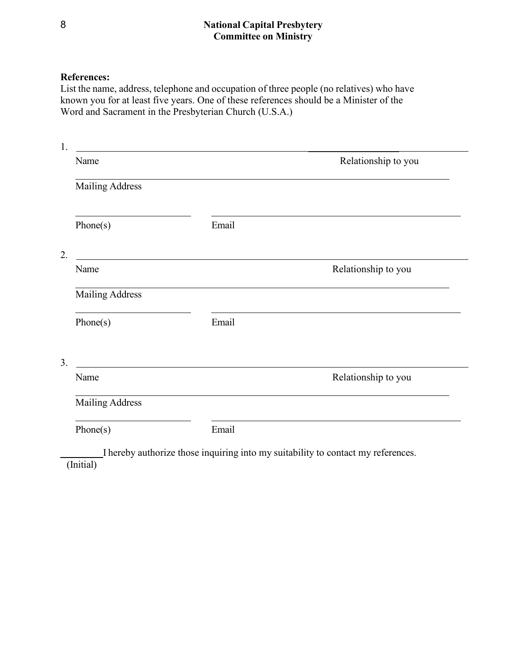#### **References:**

List the name, address, telephone and occupation of three people (no relatives) who have known you for at least five years. One of these references should be a Minister of the Word and Sacrament in the Presbyterian Church (U.S.A.)

| Name                   |                                                                                                                      | Relationship to you |
|------------------------|----------------------------------------------------------------------------------------------------------------------|---------------------|
| <b>Mailing Address</b> |                                                                                                                      |                     |
| Phone(s)               | Email                                                                                                                |                     |
|                        |                                                                                                                      |                     |
| Name                   |                                                                                                                      | Relationship to you |
| <b>Mailing Address</b> |                                                                                                                      |                     |
| Phone(s)               | Email                                                                                                                |                     |
|                        | <u> 1989 - Johann John Stone, markin film yn y brening yn y brening y brening yn y brening y brening yn y brenin</u> |                     |
| Name                   |                                                                                                                      | Relationship to you |
| <b>Mailing Address</b> |                                                                                                                      |                     |
| Phone(s)               | Email                                                                                                                |                     |

 I hereby authorize those inquiring into my suitability to contact my references. (Initial)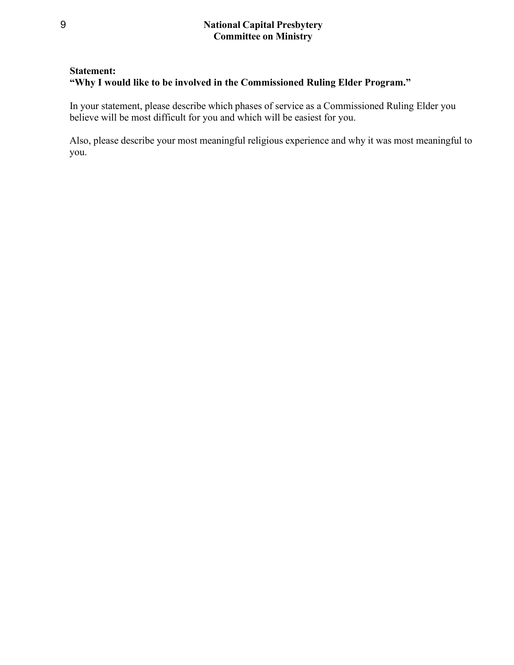#### **Statement:**

## **"Why I would like to be involved in the Commissioned Ruling Elder Program."**

In your statement, please describe which phases of service as a Commissioned Ruling Elder you believe will be most difficult for you and which will be easiest for you.

Also, please describe your most meaningful religious experience and why it was most meaningful to you.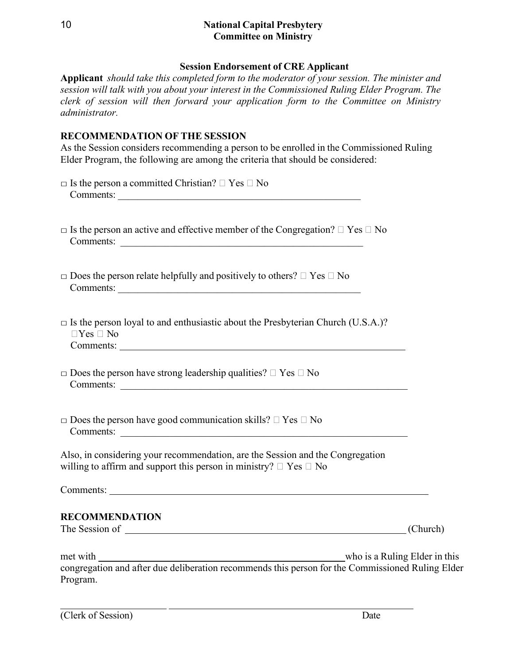#### **Session Endorsement of CRE Applicant**

**Applicant** *should take this completed form to the moderator of your session. The minister and session will talk with you about your interest in the Commissioned Ruling Elder Program. The clerk of session will then forward your application form to the Committee on Ministry administrator.* 

#### **RECOMMENDATION OF THE SESSION**

As the Session considers recommending a person to be enrolled in the Commissioned Ruling Elder Program, the following are among the criteria that should be considered:

| $\Box$ Is the person a committed Christian? $\Box$ Yes $\Box$ No                                                                                              |          |
|---------------------------------------------------------------------------------------------------------------------------------------------------------------|----------|
| $\Box$ Is the person an active and effective member of the Congregation? $\Box$ Yes $\Box$ No<br>Comments:                                                    |          |
| $\Box$ Does the person relate helpfully and positively to others? $\Box$ Yes $\Box$ No<br>Comments:                                                           |          |
| $\square$ Is the person loyal to and enthusiastic about the Presbyterian Church (U.S.A.)?<br>$\Box$ Yes $\Box$ No                                             |          |
| $\square$ Does the person have strong leadership qualities? $\square$ Yes $\square$ No<br>Comments:                                                           |          |
| $\square$ Does the person have good communication skills? $\square$ Yes $\square$ No                                                                          |          |
| Also, in considering your recommendation, are the Session and the Congregation<br>willing to affirm and support this person in ministry? $\Box$ Yes $\Box$ No |          |
|                                                                                                                                                               |          |
| <b>RECOMMENDATION</b>                                                                                                                                         | (Church) |
| met with who is a Ruling Elder in this<br>congregation and after due deliberation recommends this person for the Commissioned Ruling Elder                    |          |

Program.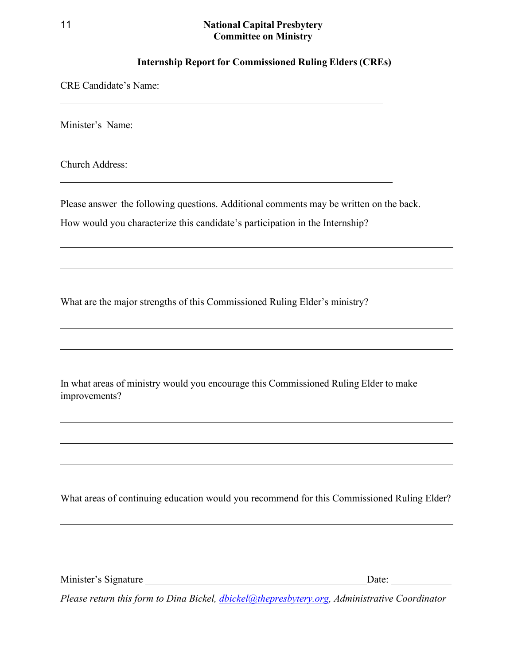#### **Internship Report for Commissioned Ruling Elders (CREs)**

<u> 1989 - Johann Stoff, amerikansk politiker (d. 1989)</u>

CRE Candidate's Name:

Minister's Name:

Church Address:

Please answer the following questions. Additional comments may be written on the back.

How would you characterize this candidate's participation in the Internship?

What are the major strengths of this Commissioned Ruling Elder's ministry?

In what areas of ministry would you encourage this Commissioned Ruling Elder to make improvements?

What areas of continuing education would you recommend for this Commissioned Ruling Elder?

Minister's Signature Date:

*Please return this form to Dina Bickel, [dbickel@thepresbytery.org,](mailto:dbickel@thepresbytery.org) Administrative Coordinator*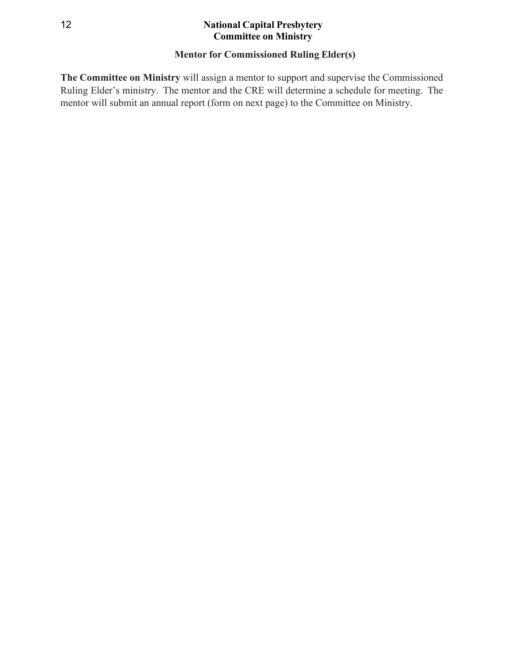# **Mentor for Commissioned Ruling Elder(s)**

**The Committee on Ministry** will assign a mentor to support and supervise the Commissioned Ruling Elder's ministry. The mentor and the CRE will determine a schedule for meeting. The mentor will submit an annual report (form on next page) to the Committee on Ministry.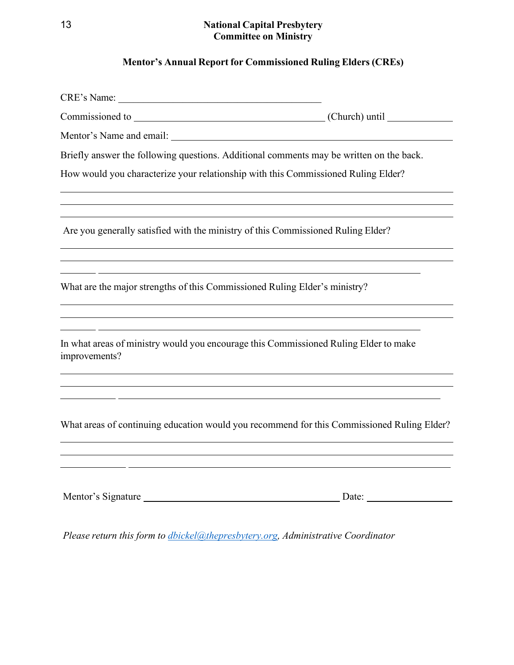# **Mentor's Annual Report for Commissioned Ruling Elders (CREs)**

|                                                                                                       | (Church) until |
|-------------------------------------------------------------------------------------------------------|----------------|
| Mentor's Name and email:                                                                              |                |
| Briefly answer the following questions. Additional comments may be written on the back.               |                |
| How would you characterize your relationship with this Commissioned Ruling Elder?                     |                |
| Are you generally satisfied with the ministry of this Commissioned Ruling Elder?                      |                |
| What are the major strengths of this Commissioned Ruling Elder's ministry?                            |                |
| In what areas of ministry would you encourage this Commissioned Ruling Elder to make<br>improvements? |                |
| What areas of continuing education would you recommend for this Commissioned Ruling Elder?            |                |
| Mentor's Signature                                                                                    | Date:          |

*Please return this form to [dbickel@thepresbytery.org,](mailto:dbickel@thepresbytery.org) Administrative Coordinator*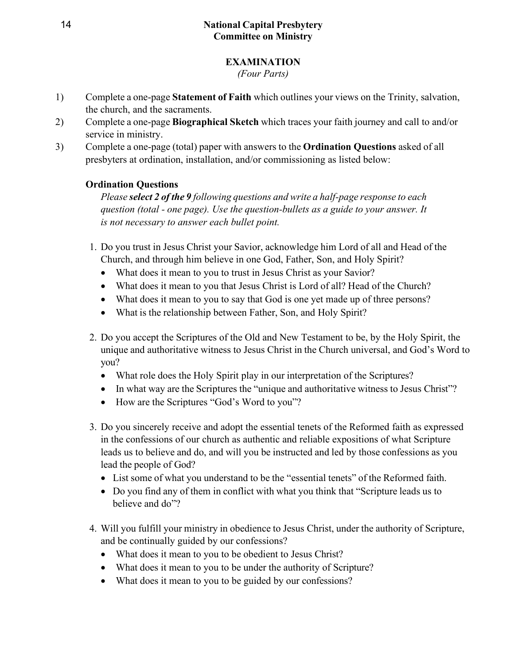# **EXAMINATION**

*(Four Parts)*

- 1) Complete a one-page **Statement of Faith** which outlines your views on the Trinity, salvation, the church, and the sacraments.
- 2) Complete a one-page **Biographical Sketch** which traces your faith journey and call to and/or service in ministry.
- 3) Complete a one-page (total) paper with answers to the **Ordination Questions** asked of all presbyters at ordination, installation, and/or commissioning as listed below:

# **Ordination Questions**

*Please select 2 of the 9 following questions and write a half-page response to each question (total - one page). Use the question-bullets as a guide to your answer. It is not necessary to answer each bullet point.*

- 1. Do you trust in Jesus Christ your Savior, acknowledge him Lord of all and Head of the Church, and through him believe in one God, Father, Son, and Holy Spirit?
	- What does it mean to you to trust in Jesus Christ as your Savior?
	- What does it mean to you that Jesus Christ is Lord of all? Head of the Church?
	- What does it mean to you to say that God is one yet made up of three persons?
	- What is the relationship between Father, Son, and Holy Spirit?
- 2. Do you accept the Scriptures of the Old and New Testament to be, by the Holy Spirit, the unique and authoritative witness to Jesus Christ in the Church universal, and God's Word to you?
	- What role does the Holy Spirit play in our interpretation of the Scriptures?
	- In what way are the Scriptures the "unique and authoritative witness to Jesus Christ"?
	- How are the Scriptures "God's Word to you"?
- 3. Do you sincerely receive and adopt the essential tenets of the Reformed faith as expressed in the confessions of our church as authentic and reliable expositions of what Scripture leads us to believe and do, and will you be instructed and led by those confessions as you lead the people of God?
	- List some of what you understand to be the "essential tenets" of the Reformed faith.
	- Do you find any of them in conflict with what you think that "Scripture leads us to believe and do"?
- 4. Will you fulfill your ministry in obedience to Jesus Christ, under the authority of Scripture, and be continually guided by our confessions?
	- What does it mean to you to be obedient to Jesus Christ?
	- What does it mean to you to be under the authority of Scripture?
	- What does it mean to you to be guided by our confessions?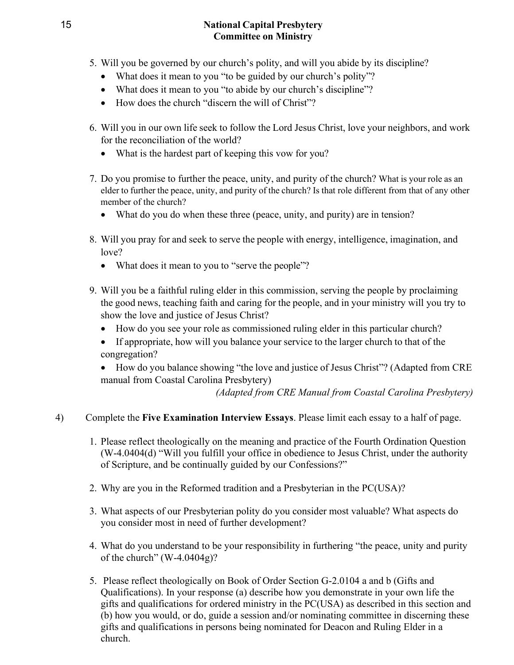- 5. Will you be governed by our church's polity, and will you abide by its discipline?
	- What does it mean to you "to be guided by our church's polity"?
	- What does it mean to you "to abide by our church's discipline"?
	- How does the church "discern the will of Christ"?
- 6. Will you in our own life seek to follow the Lord Jesus Christ, love your neighbors, and work for the reconciliation of the world?
	- What is the hardest part of keeping this vow for you?
- 7. Do you promise to further the peace, unity, and purity of the church? What is your role as an elder to further the peace, unity, and purity of the church? Is that role different from that of any other member of the church?
	- What do you do when these three (peace, unity, and purity) are in tension?
- 8. Will you pray for and seek to serve the people with energy, intelligence, imagination, and love?
	- What does it mean to you to "serve the people"?
- 9. Will you be a faithful ruling elder in this commission, serving the people by proclaiming the good news, teaching faith and caring for the people, and in your ministry will you try to show the love and justice of Jesus Christ?
	- How do you see your role as commissioned ruling elder in this particular church?
	- If appropriate, how will you balance your service to the larger church to that of the congregation?
	- How do you balance showing "the love and justice of Jesus Christ"? (Adapted from CRE manual from Coastal Carolina Presbytery)

*(Adapted from CRE Manual from Coastal Carolina Presbytery)*

# 4) Complete the **Five Examination Interview Essays**. Please limit each essay to a half of page.

- 1. Please reflect theologically on the meaning and practice of the Fourth Ordination Question (W-4.0404(d) "Will you fulfill your office in obedience to Jesus Christ, under the authority of Scripture, and be continually guided by our Confessions?"
- 2. Why are you in the Reformed tradition and a Presbyterian in the PC(USA)?
- 3. What aspects of our Presbyterian polity do you consider most valuable? What aspects do you consider most in need of further development?
- 4. What do you understand to be your responsibility in furthering "the peace, unity and purity of the church" (W-4.0404g)?
- 5. Please reflect theologically on Book of Order Section G-2.0104 a and b (Gifts and Qualifications). In your response (a) describe how you demonstrate in your own life the gifts and qualifications for ordered ministry in the PC(USA) as described in this section and (b) how you would, or do, guide a session and/or nominating committee in discerning these gifts and qualifications in persons being nominated for Deacon and Ruling Elder in a church.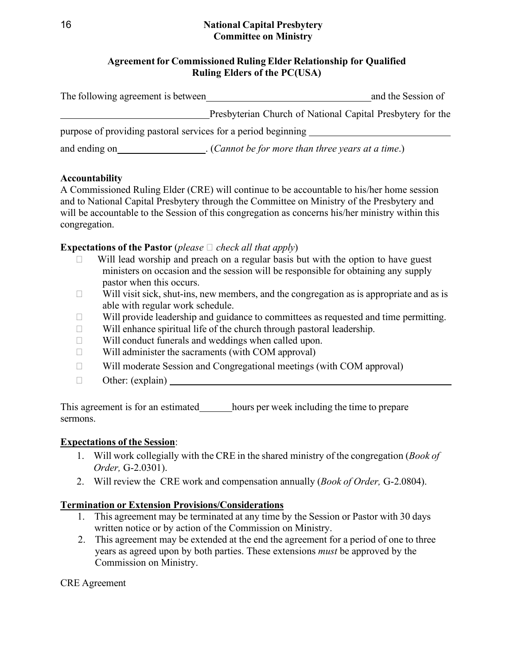## **Agreement for Commissioned Ruling Elder Relationship for Qualified Ruling Elders of the PC(USA)**

| The following agreement is between                            |                                                               | and the Session of |
|---------------------------------------------------------------|---------------------------------------------------------------|--------------------|
|                                                               | Presbyterian Church of National Capital Presbytery for the    |                    |
| purpose of providing pastoral services for a period beginning |                                                               |                    |
| and ending on                                                 | $\therefore$ (Cannot be for more than three years at a time.) |                    |

#### **Accountability**

A Commissioned Ruling Elder (CRE) will continue to be accountable to his/her home session and to National Capital Presbytery through the Committee on Ministry of the Presbytery and will be accountable to the Session of this congregation as concerns his/her ministry within this congregation.

# **Expectations of the Pastor** (*please*  $\Box$  *check all that apply*)

- Will lead worship and preach on a regular basis but with the option to have guest ministers on occasion and the session will be responsible for obtaining any supply pastor when this occurs.
- $\Box$  Will visit sick, shut-ins, new members, and the congregation as is appropriate and as is able with regular work schedule.
- $\Box$  Will provide leadership and guidance to committees as requested and time permitting.
- $\Box$  Will enhance spiritual life of the church through pastoral leadership.
- $\Box$  Will conduct funerals and weddings when called upon.
- $\Box$  Will administer the sacraments (with COM approval)
- $\Box$  Will moderate Session and Congregational meetings (with COM approval)
- $\Box$  Other: (explain)

This agreement is for an estimated hours per week including the time to prepare sermons.

### **Expectations of the Session**:

- 1. Will work collegially with the CRE in the shared ministry of the congregation (*Book of Order,* G-2.0301).
- 2. Will review the CRE work and compensation annually (*Book of Order,* G-2.0804).

# **Termination or Extension Provisions/Considerations**

- 1. This agreement may be terminated at any time by the Session or Pastor with 30 days written notice or by action of the Commission on Ministry.
- 2. This agreement may be extended at the end the agreement for a period of one to three years as agreed upon by both parties. These extensions *must* be approved by the Commission on Ministry.

### CRE Agreement